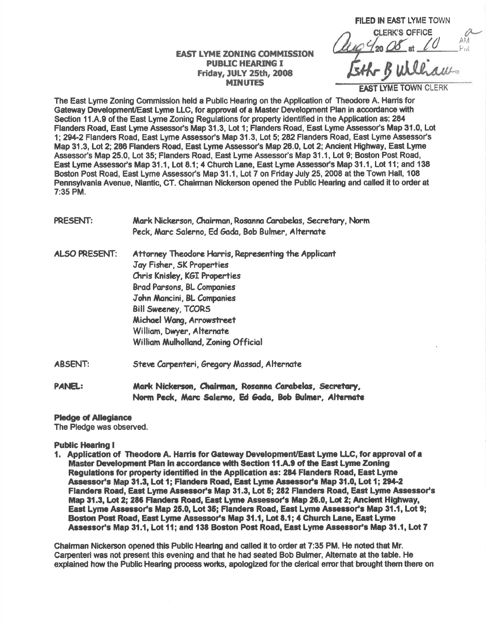**FILED IN EAST LYME TOWN CLERK'S OFFICE** 20 08 at 10 k AM Pivî Bullhaw.

**EAST LYME TOWN CLERK** 

**EAST LYME ZONING COMMISSION PUBLIC HEARING I** Friday, JULY 25th, 2008 **MINUTES** 

The East Lyme Zoning Commission held a Public Hearing on the Application of Theodore A. Harris for Gateway Development/East Lyme LLC, for approval of a Master Development Plan in accordance with Section 11, A.9 of the East Lyme Zoning Regulations for property identified in the Application as; 284 Flanders Road, East Lyme Assessor's Map 31.3, Lot 1; Flandes Road, East Lyme Assessot's Map 31.0, Lot 1;294-2 Flanders Road, East Lyme Assessor's Map 31.3, Lot 5; 282 Flanders Road, East Lyme Assessor's Map 31.3, Lot 2; 286 Flanders Road, East Lyme Assessor's Map 20.0, Lot 2; Ancient Hlglway, East Lyme Assessor's Map 25.0, Lot 35; Flanders Road, East Lyme Assessor's Map 31.1, Lot 9; Boston Post Road, East Lyme Assessor's Map 31.1, Lot 8.1; 4 Church Lane, East Lyme Assessor's Map 31.1, Lot 11; and 138 Boston Post Road, East Lyme Assessor's Map 31.1, Lot 7 on Friday July 25, 2008 at the Town Hall, 108 Pennsylvania Avenue, Niantic, CT. Chairman Nickerson opened the Public Hearing and called it to order at 7:35 PM.

PRESENT: Mark Nickerson, Chairman, Rosanna Carabelas, Secretary, Norm Peck, Marc Salerno, Ed Gada, Bob Bulmer, Alternate

- ALSO PRESENT: Attorney Theodore Harris, Representing the Applicant Joy Fisher, 5K Pnoperties Chris Knisley, KGI Properties Brad Parsons, BL Companies John Mancini, BL Companies Bill Sweeney, TCORS Michael Wana, Arrowstreet William, Dwyer, Alternate William Mulholland, Zoning Official
- ABSENT: Steve Carpenteri, Gregory Massad, Alternate
- PANEL: Mark Nickerson, Chairman, Rosanna Carabelas, Secretary, Norm Peck, Marc Salerno, Ed Gada, Bob Bulmer, Alternate

**Pledge of Allegiance** 

The Pledge was observed.

**Public Hearing I** 

1. Application of Theodore A. Harris for Gateway Development/East Lyme LLC, for approval of a Master Development Plan in accordance with Section 11.A.9 of the East Lyme Zoning Regulations for property identified in the Application as: 284 Flanders Road, East Lyme Assessor's Map 31.3, Lot 1; Flanders Road, East Lyme Assessor's Map 31.0, Lot 1; 294-2 Flanders Road, East Lyme Assessor's Map 31.3, Lot 5; 282 Flanders Road, East Lyme Assessor's Map 31.3, Lot 2; 286 Flanders Road, East Lyme Assessor's Map 26.0, Lot 2; Ancient Highway, East Lyme Assessor's Map 25.0, Lot 35; Flanders Road, East Lyme Assessor's Map 31.1, Lot 9; Boston Post Road, East Lyme Assessor's Map 31.1, Lot 8.1; 4 Church Lane, East Lyme Assessor's Map 31.1, Lot 11; and 138 Boston Post Road, East Lyme Assessor's Map 31.1, Lot 7

Chalrman Nickerson opened this Publlc Hearirg and called it to order et 7:35 PM. He noted lhat Mr. Carpenteri was not present this evening and that he had seated Bob Bulmer, Alternate at the table. He explained how the Public Hearing process works, apologized for the clerical error that brought them there on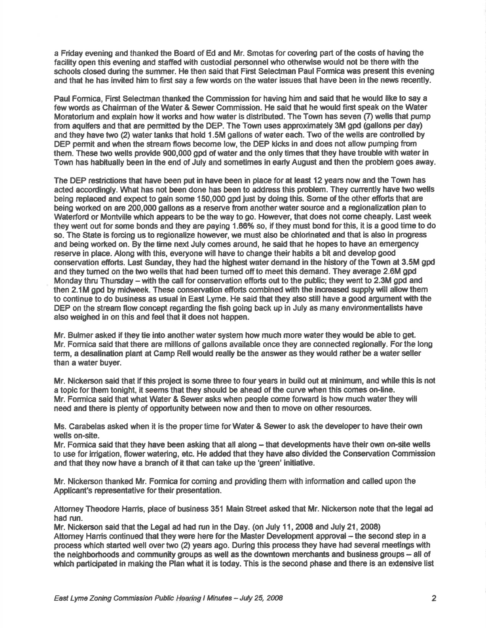a Friday evening and thanked the Board of Ed and Mr. Smotas for covering part of the costs of having the facillty open this evening and stafied with custodial pesonnelwho otherwise would not be there with the schools closed during the summer. He then said that First Selectman Paul Formica was present this evening and that he has invited him to first say a few words on the water issues that have been in the news recently.

Paul Formica, First Seledman thanked the Commission for having him and said that he would like to say a few words as Chairman of the Water & Sewer Gommission. He said that he would fitst speak on the Water Moratorium and explain how it works and how water is distributed. The Town has seven (7) wells that pump from aquifers and that are permitted by the DEP. The Town uses approximately 3M gpd (gallons per day) and they have two (2) water tanks that hold 1.5M gallons of water each. Two of the wells are controlled by DEP pemit and when the stream flows become low, the DEP kicks in and does not allow pumping from them. These two wells provide 900,000 gpd of water and the only times that they have trouble with water in Town has habitually been in the end of July and sometimes in early August and then the problem goes away.

The DEP restrictions that have been put in have been in place for at least 12 years now and the Town has acted accordingly. What has not been done has been to address this problem. They currently have two wells being replaced and expect to gain some 150,000 gpd just by doing this. Some of the other efforts that are being worked on are 200,000 gallons as a reserve from another water source and a regionalization plan to Waterford or Montville which appears to be the way to go. However, that does not come cheaply. Last week they went out for some bonds and they are paying 1.66% so, if they must bond for this, it is a good time to do so. The State is forcing us to regionalize however, we must also be chlorinated and that is also in progress and being worted on. By the time next July comes around, he saicl that he hopes to have an emergency reserve in place. Along with this, everyone will have to change their habits a bit and develop good conservation efforts. Last Sunday, they had the highest water demand in the history of the Town at 3.5M gpd and they tumed on the two wells that had been tumed offto meet this demand. They avorage 2.6M gpd Monday thru Thursday – with the call for conservation efforts out to the public; they went to 2.3M gpd and then 2.1M gpd by midweek. These conservation efforts combined with the increased supply will allow them to continue to do business as usual in East Lyme. He said that they also still have a good argument with the DEP on the stream flow concept regarding the fish going back up in July as many environmentalists have also weighed in on this end feel that it does not happen.

Mr. Bulmer asked if they tie into another water system how much more water they would be able to get. Mr. Formica said that there are millions of gallons available once they are connected regionally. For the long term, a desalination plant at Camp Rell would really be the answer as they would rather be a water seller than a water buyer.

Mr. Nickerson said that if this project is some three to four years in build out at minimum, and while this is not a topic for them tonight, it seems that they should be ahead of the curve when this comes on-line. Mr. Formica said that what Water & Sewer asks when people come forward is how much water they will need and there is plenty of opportunity between now and then to move on other resources.

Ms. Carabelas asked when it is the proper time for Water & Sewer to ask the developer to have their own wells on-site.

Mr. Formica said that they have been asking that all along - that developments have their own on-site wells to use for irrigation, flower watering, etc. He added that they have also divided the Conservation Commission and that they now have a branch of it that can take up the 'green' initiative.

Mr. Nickerson thanked Mr. Formica for coming and providing them with information and called upon the Apdicant's representative for their presentation.

Attomey Theodore Harris, place of business 351 Main Street asked that Mr. Nickerson note that the legal ad had run.

Mr. Nickerson said that the Legal ad had run in the Day. (on July 11, 2008 and July 21, 2008) Attomey Harris continued that they were here for the Master Development approval - the second step in a process which started well over two (2) years ago. During this process they have had several meetings with the neighborhoods and community groups as well as the downtown merchants and business groups - all of which participated in making the Plan what it is today. This is the second phase and there is an extensive list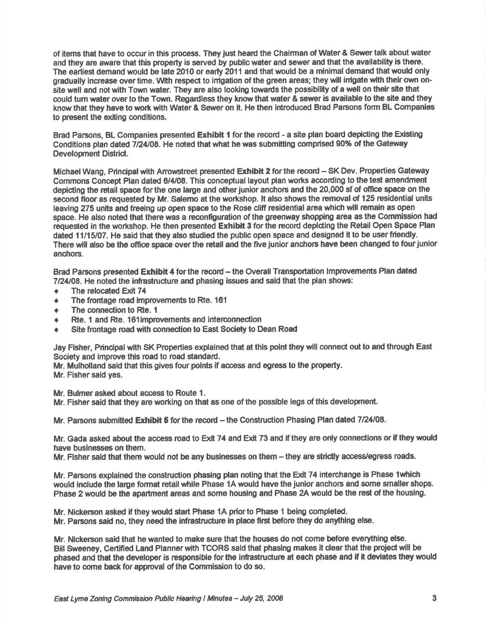of items that have to occur in this process. They just heard the Chairman of Water & Sewer talk about water and they are aware that this property is served by public water and sewer and that the availability is there. The earliest demand would be late 2010 or early 2011 and that would be a minimal demand that would only gradually increase over time. With respect to irrigation of the green areas; they will irrigate with their own onsite well and not with Town water. They are also looking towards the possibility of a well on their site that could turn water over to the Town. Regardless they know that water & sewer is available to the site and they know that they have to work with Water & Sewer on it. He then introduced Brad Parsons form BL Companies to present the exiting conditions.

Brad Parsons, BL Companies presented Exhibit 1 for the record - a site plan board depicting the Existing Conditions plan dated 7/24/08. He noted that what he was submitting comprised 90% of the Gateway Development District.

Michael Wang, Principal with Arrowstreet presented Exhibit 2 for the record - SK Dev. Properties Gateway Commons Concept Plan dated 6/4/08. This conceptual layout plan works according to the test amendment depicting the retail space for the one large and other junior anchors and the 20,000 sf of office space on the second floor as requested by Mr. Salemo at the workshop. It also shows the removal of 125 residential units leavlng 275 units and freeing up open space to the Rose cliff residential area which will remain as open space. He also noted that there was a reconfiguration of the greenway shopping area as the Gommission had requested in the workshop. He then presented Exhibit 3 for the record depicting the Retail Open Space Plan dated 11/15/07. He said that they also studied the public open space and designed it to be user friendly. There will also be the office space over the retail and the five junior anchors have been changed to four junior anchors.

Brad Parsons presented Exhibit 4 for the record - the Overall Transportation Improvements Plan dated  $7/24/08$ . He noted the infrastructure and phasing issues and said that the plan shows:

- The relocated Exit 74
- The frontage road improvements to Rte. 161
- The connection to Rte. 1
- Rte. 1 and Rte. 161 improvements and interconnection
- Site frontage road with connection to East Society to Dean Road

Jay Fisher, Principal with SK Properties explained that at this point they will connect out to and through East Society and improve this road to road standard.

Mr. Mulhdland said that this gives four points if access and egress to the property.

Mr. Fisher said yes.

Mr. Bulmer asked about access to Route 1.

Mr. Fisher said that they are working on that as one of the possible legs of this development.

Mr. Parsons submitted Exhibit 5 for the record -- the Construction Phasing Plan dated 7/24/08.

Mr. Gada asked about the access road to Exit 74 and Exit 73 and if they are only connections or if they would have buslnesses on them.

Mr. Fisher said that there would not be any businesses on them - they are strictly access/egress roads.

Mr. Parsons explained the construction phasing plan noting that the Exit 74 interchange is Phase 1 which would include the large format retail while Phase 1A would have the junior anchors and some smaller shops. Phase 2 would be the apartment areas and some housing and Phase 2A would be the rest of the housing.

Mr. Nickerson asked if they would start Phase 1A prior to Phase 1 being completed.

Mr. Parsons said no, they need the infrastructure in place first before they do anything else.

Mr. Nlckerson said that he wanted to make sure that the houses do not come before everything else. Bill Sweeney, Certified Land Planner with TCORS said that phasing makes it clear that the project will be phased and that the developer is responsible for the infrastructure at each phase and if it deviates they would have to come back for approval of the Commission to do so.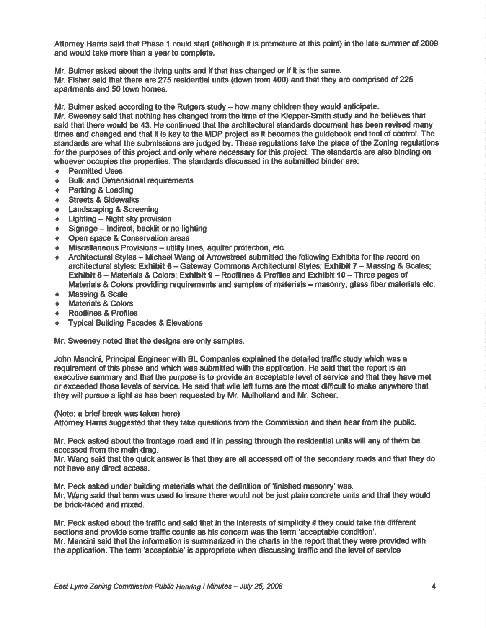Attomey Hanis said that Phase 1 could start (although it is premature at this point) in the late summer of 2009 and would take more than a year to complete.

Mr. Bulmer asked about the living units and if that has changed or if it is the same. Mr. Fisher said that there are 275 residential units (down from 400) and that they are comprised of 225 apartments and 50 toum homes.

Mr. Bulmer asked according to the Rutgers study - how many children they would anticipate.

Mr. Sweeney said that nothing has changed from the time of the Klepper-Smith study and he believes that said that there would be 43. He continued that the architectural standards document has been revised many times and changed and that it is key to the MDP project as it becomes the guidebook and tool of control. The standards are what the submissions are judged by. These regulations take the place of the Zoning regulations for the purposes of this project and only where necessary for this project. The standards are also binding on whoever occupies the properties. The standards discussed in the submitted binder are:

- ◆ Permitted Uses<br>◆ Bulk and Dimen
- **Bulk and Dimensional requirements**
- + Parking & Loading
- **Streets & Sidewalks**
- **Landscaping & Screening**
- $\leftarrow$  Lighting Night sky provision<br>  $\leftarrow$  Signage Indirect backlif or r
- $\triangleq$  Signage Indirect, backlit or no lighting<br>  $\triangleq$  Open space & Conservation areas
- **E.** Open space & Conservation areas<br>■ Miscellaneous Provisions utility li
- Miscellaneous Provisions utility lines, aquifer protection, etc.
- Architectural Styles Michael Wang of Arrowstreet submitted the following Exhibits for the record on architectural styles: Exhibit 6 - Gateway Commons Architectural Styles; Exhibit 7 - Massing & Scales; Exhibit 8 - Materials & Colors; Exhibit 9 - Rooflines & Profiles and Exhibit 10 - Three pages of Materials & Colors providing requirements and samples of materials – masonry, glass fiber materials etc.<br>Massing & Scale
- 
- Materials & Colors<br>Rooflines & Profiles
- 
- **Typical Building Facades & Elevations**

Mr. Sweeney noted that the designs are only samples.

John Mancini, Principal Engineer with BL Companies explained the detailed traffic study which was a requirement of this phase and which was submitted with the application. He said that the report is an executive summery and that the purpose is to provide an acceptable level of service and that they have met or exceeded those levels of service. He said that wile left turns are the most difficult to make anywhere that they will pursue a light as has been requested by Mr. Mulholland and Mr. Scheer.

(Note: a brief break was taken here)

Attomey Harris suggested that they take questions from the Commission and then hear from the public.

Mr. Peck asked about the frontage road and if in passing through the residential units will any of them be accessed ffom the maln drag.

Mr. Wang said that the quick answer is that they are all accessed off of the secondary roads and that they do not have any dired acoess.

Mr. Peck asked under building materials what the definition of 'finished masonry' was. Mr. Wang sald that term wes used to insure there would not be just plain concrete units and that they would be brick-faced and mixed.

Mr. Peck asked about the traffic and said that in the interests of simplicity if they could take the different sections and provide some traffic counts as his concern was the term 'acceptable condition'. Mr. Mancini said that the information is summarized in the charts in the report that they were provided with the application. The term 'acceptable' is appropriate when discussing traffic and the level of service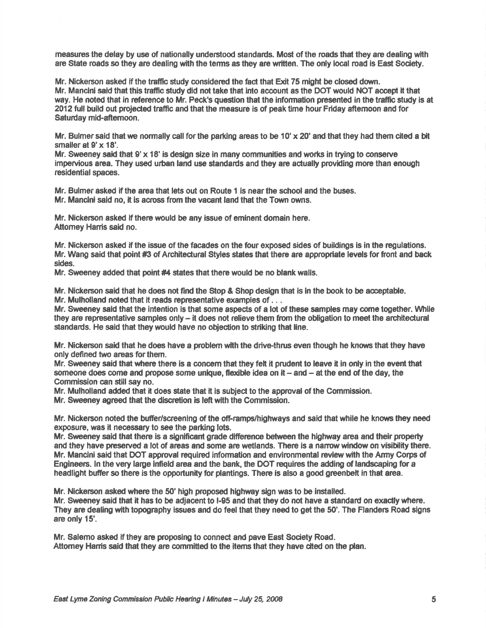measures the delay by use of nationally understood standards. Most of the roads that they are dealing with are State roads so they are dealing with the terms as they are written. The only local road is East Society.

Mr. Nickerson asked if the traffic study considered the fact that Exit 75 might be closed down. Mr. Mancini said that this traffic study did not take that into account as the DOT would NOT accept it that way. He noted that in reference to Mr. Peck's question that the information presented in the traffic study is at 2012 full build out projected traffic and that the measure is of peak time hour Friday aftemoon and for Saturday mid-aftemoon.

Mr. Bulmer said that we normally call for the parking areas to be 10'  $\times$  20' and that they had them cited a bit smaller at  $9' \times 18'$ .

Mr. Sweeney said that  $9' \times 18'$  is design size in many communities and works in trying to conserve impervious area. They used urban land use standards and they are actually providing more than enough residential spaces.

Mr. Bulmer asked if the area that lets out on Route 1 is near the school and the buses. Mr. Mancini said no, it is across from the vacant land that the Town owns.

Mr. Nickerson asked if there would be any issue of eminent domain here. Attomey Harris said no.

Mr. Nickerson asked if the lssue of the facades on the four exposed sides of buildings is in the regulations. Mr. Wang said that point #3 of Architectural Styles states that there are appropriate levels for front and back sides.

Mr. Sweeney added that point #4 states that there would be no blank walls.

Mr. Nickerson said that he does not find the Stop & Shop design that is in the book to be acceptable. Mr. Mulholland noted that it reads representative examples of ...

Mr. Sweeney said that the intention is that some aspects of a lot of these samples may come together. While they are representative samples only  $-$  it does not relieve them from the obligation to meet the architectural standards. He said that they would have no objection to striking that line.

Mr. Nickerson said that he does have a problem with the drive-thrus even though he knows that they have only defined two areas for them.

Mr. Sweeney said that where there is a concern that they felt it prudent to leave it in only in the event that someone does come and propose some unique, flexible idea on it  $-$  and  $-$  at the end of the day, the Commission can still say no.

Mr. Mulholland added that it does state that it is subject to the approval of the Commission.

Mr. Sweeney agreed that the discretion is left with the Commission.

Mr. Nickerson noted the buffer/screening of the off-ramps/highways and said that while he knows they need exposure, was it necessary to see the parking lots.

Mr. Sweeney said that there is a significant grade difference between the highway area and their property and they have preserved a lot of areas and some are wetlands. There is a narrow window on visibility there. Mr. Mancini said that DOT approval required information and environmental review with the Army Corps of Engineers. ln the very large lnfeld area and the bank, the DOT requires the adding of lardscaping for a headlight buffer so there is the opportunity for plantings. There is also a good greenbelt in that area.

Mr. Nickeson aslred where the 50' high proposed highway sign was to be installed.

Mr. Sweeney said that it has to be adjacent to I-95 and that they do not have a standard on exactly where. They are dealing with topography issues and do feel that they need to get the 50'. The Flanders Road signs are only 15'.

Mr. Salemo asked if they are proposing to connec{ and pave East Society Road. Attomey Harris said that they are committed to the items that they have cited on the plan.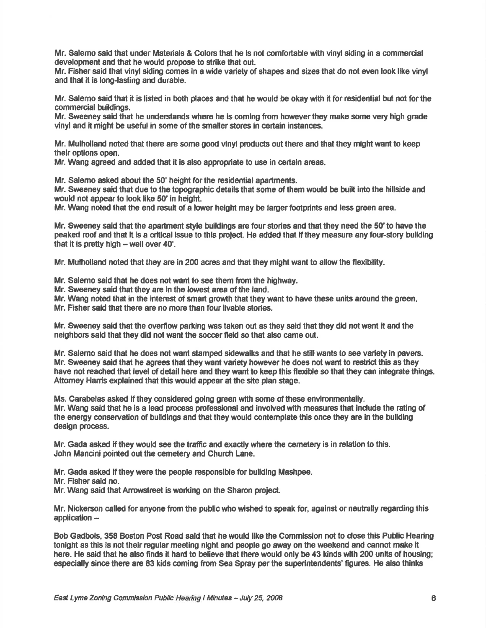Mr. Salemo said that under Materials & Colors that he is not comfortable with vinyl siding in a commercial development and that he would propose to strike that out.

Mr. Fisher said that vinyl siding comes in a wide variety of shapes and sizes that do not even look like vinyl and that it is long-lasting and durable.

Mr. Salemo said that it is listed in both places and that he would be okay with it for residential but not for the commercial buildings.

Mr. Sweeney said that he understands where he is coming from however they make some very high grade vinyl and it might be useful in some of the smaller slores in certain instanes.

Mr. Mulholland noted that there are some good vinyl products out there and that they might want to keep their options open.

Mr. Wang agreed and added that it is also appropriate to use in certain areas.

Mr. Salemo asked about the 50' height for the residential apartments.

Mr. Sweeney said that due to the topographic details that some of them would be built into the hillside and would not appear to look like 50' in height.

Mr. Wang noted that the end result of a lower height may be larger footprints and less green area.

Mr. Sweeney said that the apartment style buildings are four stories and that they need the 50'to have the peaked roof and that it is a critical issue to this project. He added that if they measure any four-story building that it is pretty high  $-$  well over 40'.

Mr. Mulholland noted that they are in 200 acres and that they might want to allow the flexibility.

Mr. Salemo said that he does not want to see them from the highway.

Mr. Sweeney said that they are in the lowest area of the land.

Mr. Wang noted that in the interest of smart growth that they want to have these units around the green.

Mr. Fisher said that there are no more than four livable stories.

Mr. Sweeney said that the overflow parking was taken out as they said that they did not want it and the neighbors said that they did not want the soccerfield so that also came out.

Mr. Salemo said that he does not want stamped sidewalks and that he still wants to see variety in pavers. Mr. Sweeney said that he agrees that they want variety however he does not want to restrict this as they have not reached that level of detail here and they want to keep this flexible so that they can integrate things. Attomey Hanis explained that this would appear at the site plan stage.

Ms. Carabelas asked if they considered going green with some of these environmentally.

Mr. Wang said that he is a lead process professional and involved with measures that include the rating of the energy conservation of buildings and that they would contemplate this once they are in the building design process.

Mr. Gada asked if they would see the trafhc ard exadly where the cemetery is in relation to this. John Mancini pointed out the cemetery and Church Lane.

Mr. Gade asked if they were the people responsible for building Mashpee.

Mr. Fisher said no.

Mr. Wang said that Arrowstreet is working on the Sharon project.

Mr. Nickerson called for anyone from the public who wished to speak for, against or neutrally regarding this application -

Bob Gadbois, 358 Boston Post Road said that he would like the Commission not to close this Public Hearing tonight as this is not their regular meeting night and people go away on the weekend and cannot make it here. He said that he also finds it hard to believe that there would only be 43 kinds with 200 units of housing; especially since there are 83 kids coming from Sea Spray per the superintendents' figures. He also thinks